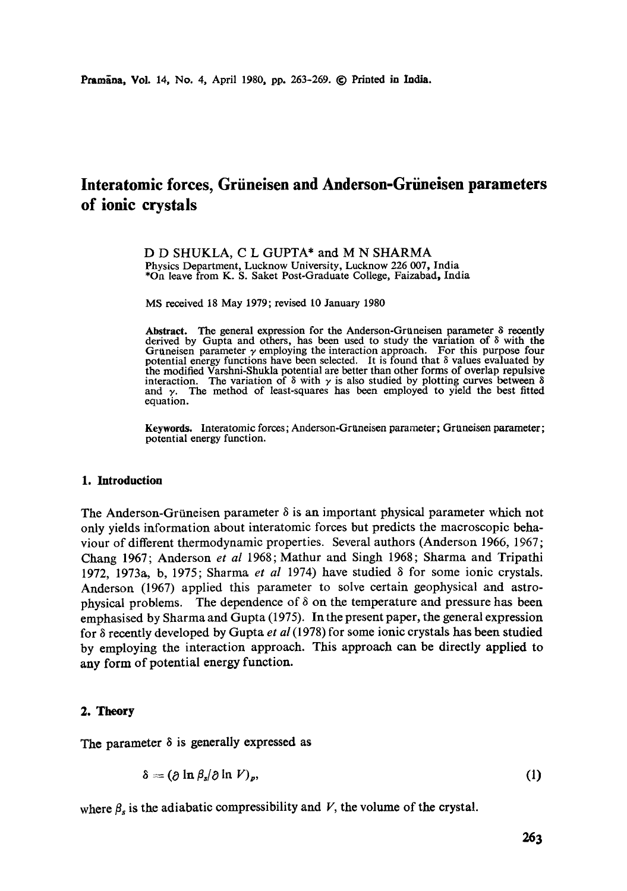# **Interatomic forces, Griineisen and Anderson-Griineisen parameters of ionic crystals**

D D SHUKLA, C L GUPTA\* and M N SHARMA Physics Department, Lucknow University, Lucknow 226 007, India \*On leave from K. S. Saket Post-Graduate College, Faizabad, India

MS received 18 May 1979; revised 10 January 1980

Abstract. The general expression for the Anderson-Grüneisen parameter  $\delta$  recently derived by Gupta and others, has been used to study the variation of 8 with **the**  Gruneisen parameter  $\gamma$  employing the interaction approach. For this purpose four potential energy functions have been selected. It is found that  $\delta$  values evaluated by the modified Varshni-Shukla potential are better than other forms of overlap repulsive interaction. The variation of  $\delta$  with  $\gamma$  is also studied by plotting curves between  $\delta$  and  $\gamma$ . The method of least-squares has been employed to yield the best fitted equation.

Keywords. Interatomic forces; Anderson-Grüneisen parameter; Grüneisen parameter; potential energy function.

### **1. Introduction**

The Anderson-Grüneisen parameter  $\delta$  is an important physical parameter which not only yields information about interatomic forces but predicts the macroscopic behaviour of different thermodynamic properties. Several authors (Anderson 1966, 1967; Chang 1967; Anderson *et al* 1968; Mathur and Singh 1968; Sharma and Tripathi 1972, 1973a, b, 1975; Sharma *et al* 1974) have studied 8 for some ionic crystals. Anderson (1967) applied this parameter to solve certain geophysical and astrophysical problems. The dependence of  $\delta$  on the temperature and pressure has been emphasised by Sharma and Gupta (1975). In the present paper, the general expression for 8 recently developed by Gupta *et al* (1978) for some ionic crystals has been studied by employing the interaction approach. This approach can be directly applied to any form of potential energy function.

## 2. **Theory**

The parameter  $\delta$  is generally expressed as

$$
\delta = (\partial \ln \beta_s / \partial \ln V)_p, \tag{1}
$$

where  $\beta_s$  is the adiabatic compressibility and V, the volume of the crystal.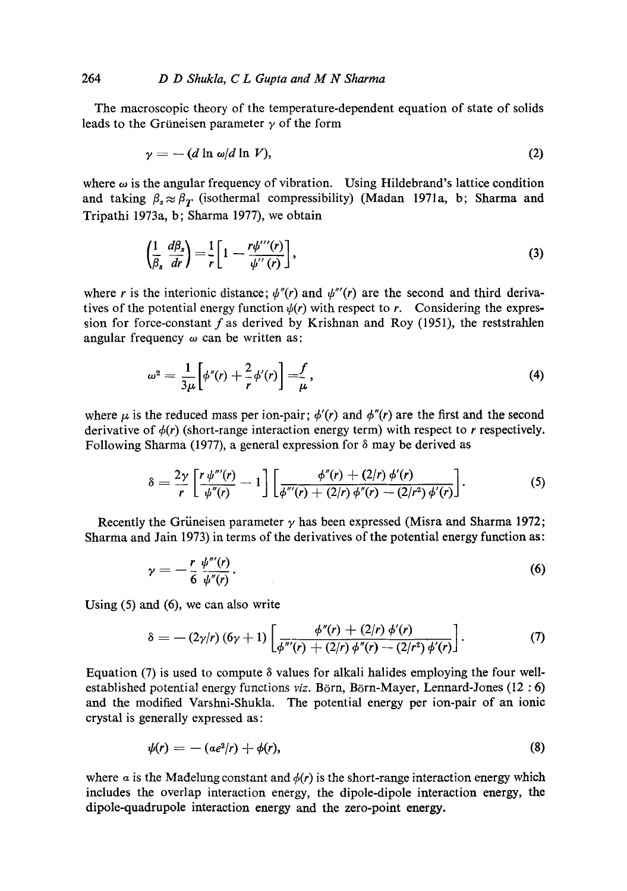The macroscopic theory of the temperature-dependent equation of state of solids leads to the Grüneisen parameter  $\gamma$  of the form

$$
\gamma = - (d \ln \omega/d \ln V), \tag{2}
$$

where  $\omega$  is the angular frequency of vibration. Using Hildebrand's lattice condition and taking  $\beta_s \approx \beta_T$  (isothermal compressibility) (Madan 1971a, b; Sharma and Tripathi 1973a, b; Sharma 1977), we obtain

$$
\left(\frac{1}{\beta_s} \frac{d\beta_s}{dr}\right) = \frac{1}{r} \left[1 - \frac{r\psi^{\prime\prime}(r)}{\psi^{\prime\prime}(r)}\right],\tag{3}
$$

where r is the interionic distance;  $\psi''(r)$  and  $\psi'''(r)$  are the second and third derivatives of the potential energy function  $\psi(r)$  with respect to r. Considering the expression for force-constant f as derived by Krishnan and Roy (1951), the reststrahlen angular frequency  $\omega$  can be written as:

$$
\omega^2 = \frac{1}{3\mu} \left[ \phi''(r) + \frac{2}{r} \phi'(r) \right] = \frac{f}{\mu}, \qquad (4)
$$

where  $\mu$  is the reduced mass per ion-pair;  $\phi'(r)$  and  $\phi''(r)$  are the first and the second derivative of  $\phi(r)$  (short-range interaction energy term) with respect to r respectively. Following Sharma (1977), a general expression for  $\delta$  may be derived as

$$
\delta = \frac{2\gamma}{r} \left[ \frac{r \psi''(r)}{\psi''(r)} - 1 \right] \left[ \frac{\phi''(r) + (2/r) \phi'(r)}{\phi''(r) + (2/r) \phi''(r) - (2/r^2) \phi'(r)} \right]. \tag{5}
$$

Recently the Grüneisen parameter  $\gamma$  has been expressed (Misra and Sharma 1972; Sharma and Jain 1973) in terms of the derivatives of the potential energy function as:

$$
\gamma = -\frac{r}{6} \frac{\psi''(r)}{\psi''(r)}.
$$
\n(6)

Using (5) and (6), we can also write

$$
\delta = -(2\gamma/r) (6\gamma + 1) \left[ \frac{\phi''(r) + (2/r) \phi'(r)}{\phi'''(r) + (2/r) \phi''(r) - (2/r^2) \phi'(r)} \right]. \tag{7}
$$

Equation (7) is used to compute  $\delta$  values for alkali halides employing the four wellestablished potential energy functions *viz*. Börn, Börn-Mayer, Lennard-Jones (12:6) and the modified Varshni-Shukla. The potential energy per ion-pair of an ionic crystal is generally expressed as:

$$
\psi(r) = -(\alpha e^2/r) + \phi(r),\tag{8}
$$

where  $\alpha$  is the Madelung constant and  $\phi(r)$  is the short-range interaction energy which includes the overlap interaction energy, the dipole-dipole interaction energy, the dipolc-quadrupole interaction energy and the zero-point energy.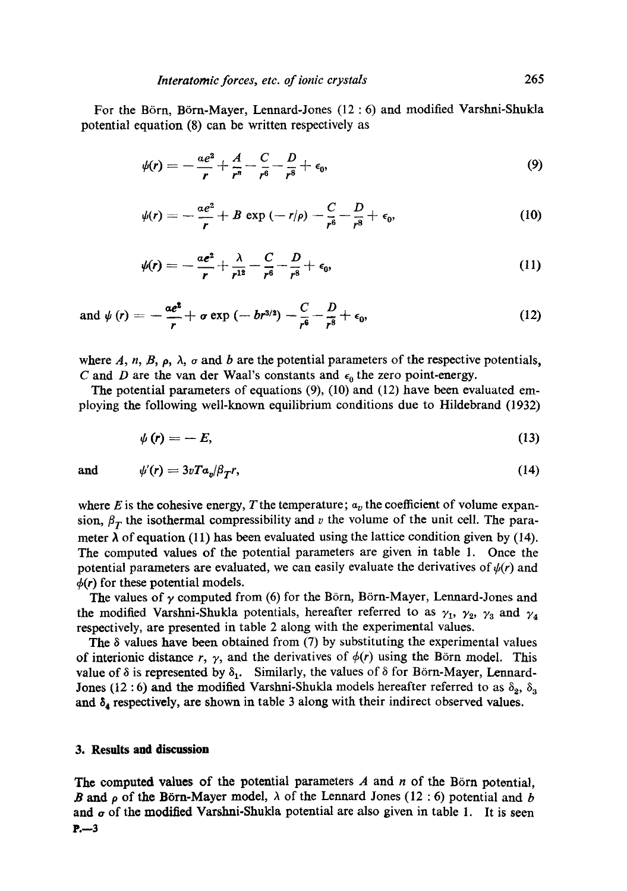For the Börn, Börn-Mayer, Lennard-Jones (12:6) and modified Varshni-Shukla potential equation (8) can be written respectively as

$$
\psi(r) = -\frac{ae^2}{r} + \frac{A}{r^n} - \frac{C}{r^6} - \frac{D}{r^8} + \epsilon_0,
$$
\n(9)

$$
\psi(r) = -\frac{ae^2}{r} + B \exp(-r/\rho) - \frac{C}{r^6} - \frac{D}{r^8} + \epsilon_0,
$$
\n(10)

$$
\psi(r) = -\frac{ae^2}{r} + \frac{\lambda}{r^{12}} - \frac{C}{r^6} - \frac{D}{r^8} + \epsilon_0, \tag{11}
$$

and 
$$
\psi(r) = -\frac{\alpha e^2}{r} + \sigma \exp(-br^{3/2}) - \frac{C}{r^6} - \frac{D}{r^8} + \epsilon_0,
$$
 (12)

where  $A$ ,  $n$ ,  $B$ ,  $\rho$ ,  $\lambda$ ,  $\sigma$  and  $b$  are the potential parameters of the respective potentials, C and D are the van der Waal's constants and  $\epsilon_0$  the zero point-energy.

**The** potential parameters of equations (9), (10) and (12) have been evaluated employing the following well-known equilibrium conditions due to Hildebrand (1932)

$$
\psi(r) = -E,\tag{13}
$$

and 
$$
\psi'(r) = 3vT\alpha_v/\beta_T r, \qquad (14)
$$

where E is the cohesive energy, T the temperature;  $a_v$  the coefficient of volume expansion,  $\beta_T$  the isothermal compressibility and v the volume of the unit cell. The parameter  $\lambda$  of equation (11) has been evaluated using the lattice condition given by (14). The computed values of the potential parameters are given in table 1. Once the potential parameters are evaluated, we can easily evaluate the derivatives of  $\psi(r)$  and  $\phi(r)$  for these potential models.

The values of  $\gamma$  computed from (6) for the Börn, Börn-Mayer, Lennard-Jones and the modified Varshni-Shukla potentials, hereafter referred to as  $\gamma_1$ ,  $\gamma_2$ ,  $\gamma_3$  and  $\gamma_4$ respectively, are presented in table 2 along with the experimental values.

The  $\delta$  values have been obtained from (7) by substituting the experimental values of interionic distance r,  $\gamma$ , and the derivatives of  $\phi(r)$  using the B6rn model. This value of  $\delta$  is represented by  $\delta_1$ . Similarly, the values of  $\delta$  for Börn-Mayer, Lennard-Jones (12 : 6) and the modified Varshni-Shukla models hereafter referred to as  $\delta_2$ ,  $\delta_3$ and  $\delta_4$  respectively, are shown in table 3 along with their indirect observed values.

# **3. Results and discussion**

The computed values of the potential parameters  $\vec{A}$  and  $\vec{n}$  of the B<sub>0</sub> potential, B and  $\rho$  of the Börn-Mayer model,  $\lambda$  of the Lennard Jones (12 : 6) potential and b and  $\sigma$  of the modified Varshni-Shukla potential are also given in table 1. It is seen **1.--3**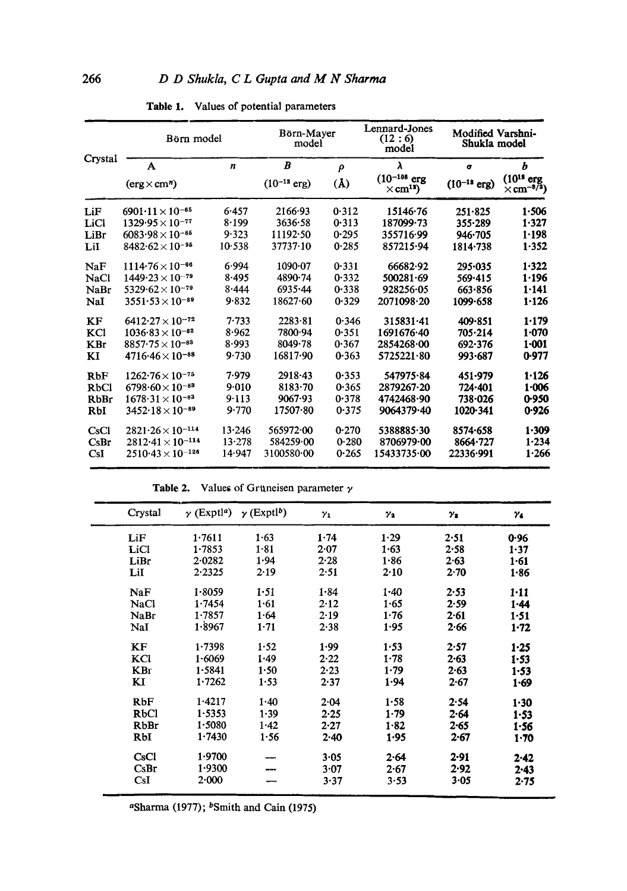| Crystal     | Börn model                        | Börn-Mayer<br>model |                          | Lennard-Jones<br>(12:6)<br>model | Modified Varshni-<br>Shukla model                        |                  |                                                 |
|-------------|-----------------------------------|---------------------|--------------------------|----------------------------------|----------------------------------------------------------|------------------|-------------------------------------------------|
|             | A                                 | $\boldsymbol{n}$    | B                        | ρ                                | λ                                                        | $\sigma$         | Ь                                               |
|             | $(\text{erg} \times \text{cm}^n)$ |                     | $(10^{-12} \text{ erg})$ | (A)                              | $(10^{-108} \text{ erg})$<br>$\times$ cm <sup>13</sup> ) | $(10^{-12}$ erg) | $(10^{18}$ erg<br>$\times$ cm <sup>-8/2</sup> ) |
| LiF         | $6901 \cdot 11 \times 10^{-65}$   | 6.457               | 2166.93                  | 0.312                            | 15146.76                                                 | 251.825          | 1.506                                           |
| LiCl        | $1329.95 \times 10^{-77}$         | 8.199               | 3636.58                  | 0.313                            | 187099-73                                                | $355 - 289$      | 1.327                                           |
| LiBr        | $6083.98 \times 10^{-85}$         | 9.323               | 11192.50                 | 0.295                            | 355716-99                                                | 946.705          | 1.198                                           |
| LiI         | $8482.62\times10^{-95}$           | 10.538              | 37737.10                 | 0.285                            | 857215.94                                                | 1814.738         | 1.352                                           |
| NaF         | $1114.76 \times 10^{-66}$         | 6.994               | 1090.07                  | 0.331                            | 66682.92                                                 | $295 - 035$      | 1.322                                           |
| NaCl        | $1449.23 \times 10^{-79}$         | 8.495               | 4890.74                  | 0.332                            | 500281.69                                                | $569 - 415$      | 1.196                                           |
| NaBr        | $5329.62 \times 10^{-79}$         | 8.444               | 6935.44                  | 0.338                            | 928256.05                                                | 663-856          | $1 - 141$                                       |
| NaI         | $3551.53 \times 10^{-89}$         | 9.832               | 18627.60                 | 0.329                            | 2071098.20                                               | 1099.658         | 1.126                                           |
| KF          | $6412.27\times 10^{-72}$          | 7.733               | 2283.81                  | 0.346                            | $315831 - 41$                                            | 409.851          | 1.179                                           |
| KCI         | $1036.83 \times 10^{-82}$         | 8.962               | 7800.94                  | 0.351                            | 1691676.40                                               | 705.214          | 1.070                                           |
| <b>KBr</b>  | $8857.75\times10^{-83}$           | 8.993               | $8049 - 78$              | 0.367                            | 2854268.00                                               | 692.376          | $1 - 001$                                       |
| KI          | $4716.46 \times 10^{-88}$         | 9.730               | 16817.90                 | 0.363                            | 5725221.80                                               | 993.687          | 0.977                                           |
| RbF         | $1262.76\times10^{-75}$           | 7.979               | $2918 - 43$              | 0.353                            | 547975.84                                                | 451.979          | 1.126                                           |
| RbCl        | $6798.60\times10^{-83}$           | 9.010               | 8183.70                  | 0.365                            | 2879267-20                                               | 724-401          | 1.006                                           |
| <b>RbBr</b> | $1678.31 \times 10^{-83}$         | 9.113               | 9067.93                  | 0.378                            | 4742468.90                                               | 738.026          | 0.950                                           |
| RbI         | $3452 \cdot 18 \times 10^{-89}$   | 9.770               | 17507.80                 | 0.375                            | 9064379-40                                               | 1020.341         | 0.926                                           |
| CsCl        | $2821.26\times10^{-114}$          | 13.246              | 565972.00                | 0.270                            | 5388885.30                                               | 8574-658         | 1.309                                           |
| CsBr        | $2812.41 \times 10^{-114}$        | 13.278              | 584259.00                | 0.280                            | 8706979.00                                               | 8664-727         | 1.234                                           |
| CsI         | $2510-43 \times 10^{-126}$        | 14.947              | 3100580.00               | 0.265                            | 15433735.00                                              | 22336.991        | 1.266                                           |

Table 1. Values of potential parameters

Table 2. Values of Gruneisen parameter  $\gamma$ 

| Crystal     | $\gamma$ (Exptl <sup>a</sup> ) | $\gamma$ (Exptl <sup>b</sup> ) | $\gamma_1$ | $\gamma_2$ | $\gamma_{2}$ | $\gamma_{4}$ |
|-------------|--------------------------------|--------------------------------|------------|------------|--------------|--------------|
| LiF         | 1.7611                         | 1.63                           | 1.74       | 1.29       | 2.51         | 0.96         |
| LiCl        | 1.7853                         | $1 - 81$                       | 2.07       | 1.63       | 2.58         | 1.37         |
| LiBr        | 2.0282                         | 1.94                           | 2.28       | 1.86       | 2.63         | $1 - 61$     |
| LiI         | 2.2325                         | 2.19                           | 2.51       | 2.10       | 2.70         | 1.86         |
| NaF         | 1.8059                         | $1 - 51$                       | $1 - 84$   | $1 - 40$   | 2.53         | $1-11$       |
| <b>NaCl</b> | 1.7454                         | 1.61                           | 2.12       | 1.65       | 2.59         | $1-44$       |
| NaBr        | 1.7857                         | 1.64                           | 2.19       | 1.76       | 2.61         | 1.51         |
| NaI         | 1.8967                         | $1-71$                         | 2.38       | 1.95       | 2.66         | $1 - 72$     |
| KF          | 1.7398                         | 1.52                           | 1.99       | 1.53       | 2.57         | $1 - 25$     |
| KCl         | 1.6069                         | 1.49                           | 2.22       | 1.78       | 2.63         | $1 - 53$     |
| <b>KB</b> r | 1.5841                         | 1.50                           | 2.23       | 1.79       | 2.63         | 1.53         |
| KI          | 1.7262                         | 1.53                           | 2.37       | 1.94       | 2.67         | 1.69         |
| RbF         | 1.4217                         | $1 - 40$                       | 2.04       | 1.58       | 2.54         | 1.30         |
| RbCl        | 1.5353                         | 1.39                           | 2.25       | 1.79       | 2.64         | 1.53         |
| <b>RbBr</b> | 1.5080                         | 1.42                           | $2 - 27$   | $1 - 82$   | $2 - 65$     | 1.56         |
| RbI         | 1.7430                         | 1.56                           | 2.40       | 1.95       | 2.67         | 1.70         |
| CsCl        | 1.9700                         |                                | 3.05       | 2.64       | 2.91         | $2 - 42$     |
| CsBr        | 1.9300                         |                                | 3.07       | 2.67       | 2.92         | $2 - 43$     |
| CsI         | $2 - 000$                      |                                | 3.37       | 3.53       | 3.05         | $2 - 75$     |

<sup>a</sup>Sharma (1977); <sup>b</sup>Smith and Cain (1975)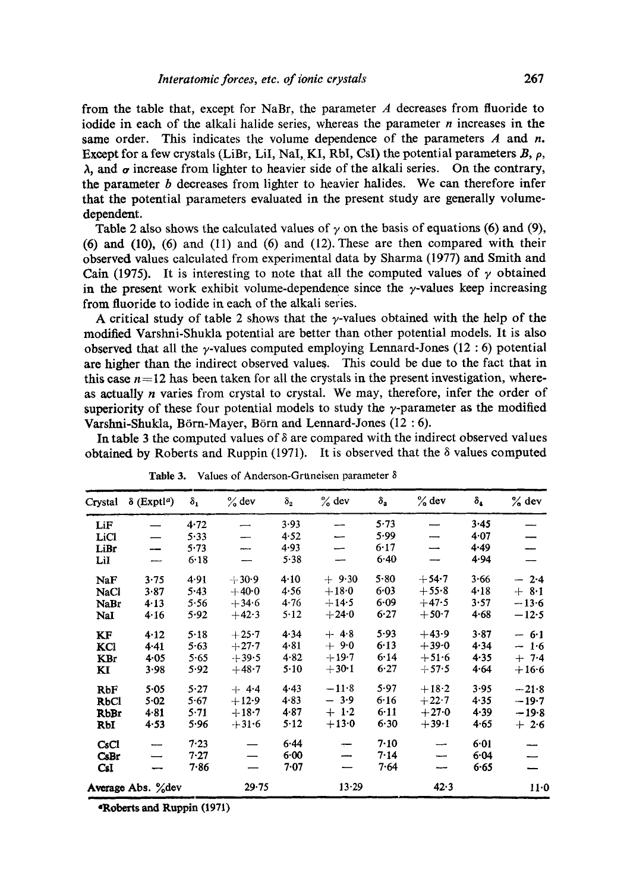from the table that, except for NaBr, the parameter  $A$  decreases from fluoride to iodide in each of the alkali halide series, whereas the parameter  $n$  increases in the same order. This indicates the volume dependence of the parameters  $A$  and  $n$ . Except for a few crystals (LiBr, LiI, NaI, KI, RbI, CsI) the potential parameters  $B$ ,  $\rho$ ,  $\lambda$ , and  $\sigma$  increase from lighter to heavier side of the alkali series. On the contrary, the parameter  $b$  decreases from lighter to heavier halides. We can therefore infer that the potential parameters evaluated in the present study are generally volumedependent.

Table 2 also shows the calculated values of  $\gamma$  on the basis of equations (6) and (9), (6) and (10), (6) and (11) and (6) and (12). These are then compared with their observed values calculated from experimental data by Sharma (1977) and Smith and Cain (1975). It is interesting to note that all the computed values of  $\gamma$  obtained in the present work exhibit volume-dependence since the  $\gamma$ -values keep increasing from fluoride to iodide in each of the alkali series.

A critical study of table 2 shows that the  $\gamma$ -values obtained with the help of the modified Varshni-Shukla potential are better than other potential models. It is also observed that all the  $\gamma$ -values computed employing Lennard-Jones (12:6) potential are higher than the indirect observed values. This could be due to the fact that in this case  $n=12$  has been taken for all the crystals in the present investigation, whereas actually  $n$  varies from crystal to crystal. We may, therefore, infer the order of superiority of these four potential models to study the  $\gamma$ -parameter as the modified Varshni-Shukla, Börn-Mayer, Börn and Lennard-Jones (12 : 6).

In table 3 the computed values of  $\delta$  are compared with the indirect observed values obtained by Roberts and Ruppin (1971). It is observed that the  $\delta$  values computed

| Crystal     | $\delta$ (Exptl <sup>a</sup> ) | $\delta_{1}$ | $\%$ dev | $\delta_2$ | $\%$ dev | $\delta_{\bf a}$ | $\%$ dev | $\delta_4$ | $%$ dev |
|-------------|--------------------------------|--------------|----------|------------|----------|------------------|----------|------------|---------|
| LiF         |                                | 4.72         |          | 3.93       |          | 5.73             |          | 3.45       |         |
| <b>LiCl</b> |                                | 5.33         |          | 4.52       |          | 5.99             |          | 4.07       |         |
| LiBr        |                                | 5.73         |          | 4.93       |          | 6.17             |          | 4.49       |         |
| LiI         |                                | 6.18         |          | 5.38       |          | 6.40             |          | 4.94       |         |
| NaF         | 3.75                           | 4.91         | $+30.9$  | 4.10       | $+9.30$  | $5 - 80$         | $+54.7$  | 3.66       | $-2.4$  |
| <b>NaCl</b> | 3.87                           | 5.43         | $+40.0$  | 4.56       | $+18.0$  | 6.03             | $+55.8$  | 4.18       | $+8.1$  |
| NaBr        | 4.13                           | 5.56         | $+34.6$  | 4.76       | $+14.5$  | 6.09             | $+47.5$  | 3.57       | $-13.6$ |
| NaI         | 4.16                           | 5.92         | $+42.3$  | 5.12       | $+24.0$  | 6.27             | $+50.7$  | 4.68       | $-12.5$ |
| KF          | 4.12                           | 5.18         | $+25.7$  | 4.34       | $+4.8$   | 5.93             | $+43.9$  | 3.87       | $-6.1$  |
| KCl         | 4.41                           | 5.63         | $+27.7$  | 4.81       | $+9.0$   | 6.13             | $+39.0$  | 4.34       | $-1.6$  |
| KBr         | 4.05                           | 5.65         | $+39.5$  | 4.82       | $+19.7$  | 6.14             | $+51.6$  | 4.35       | $+ 7.4$ |
| KI          | 3.98                           | 5.92         | $+48.7$  | 5.10       | $+30.1$  | 6.27             | $+57.5$  | 4.64       | $+16.6$ |
| RbF         | 5.05                           | 5.27         | $+4.4$   | 4.43       | $-11.8$  | 5.97             | $+18.2$  | 3.95       | $-21.8$ |
| <b>RbCl</b> | 5.02                           | 5.67         | $+12.9$  | 4.83       | $-3.9$   | 6.16             | $+22.7$  | 4.35       | $-19.7$ |
| <b>RbBr</b> | 4.81                           | 5.71         | $+18.7$  | 4.87       | $+1.2$   | 6.11             | $+27.0$  | 4.39       | $-19.8$ |
| RbI         | 4.53                           | 5.96         | $+31.6$  | 5.12       | $+13.0$  | 6.30             | $+39.1$  | 4.65       | $+2.6$  |
| CsC1        |                                | 7.23         |          | $6 - 44$   |          | 7.10             |          | 6.01       |         |
| CsBr        |                                | 7.27         |          | $6 - 00$   |          | 7.14             |          | 6.04       |         |
| CsI         |                                | 7.86         |          | 7.07       |          | 7.64             |          | 6.65       |         |
|             | Average Abs. %dev              |              | 29.75    |            | 13.29    |                  | 42.3     |            | $11-0$  |

Table 3. Values of Anderson-Gruneisen parameter  $\delta$ 

tRoberts and Ruppin (1971)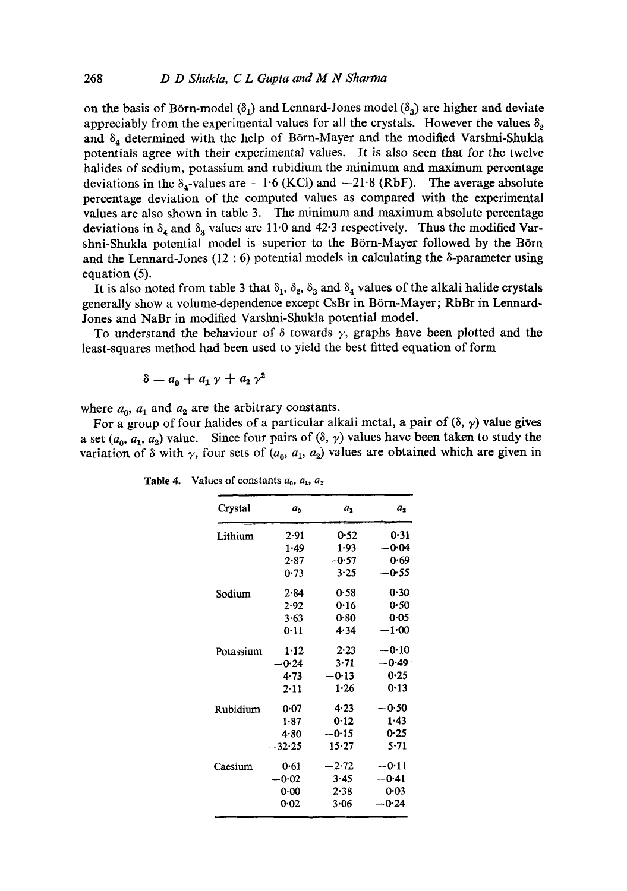on the basis of Börn-model ( $\delta_1$ ) and Lennard-Jones model ( $\delta_3$ ) are higher and deviate appreciably from the experimental values for all the crystals. However the values  $\delta_2$ and  $\delta_4$  determined with the help of Börn-Mayer and the modified Varshni-Shukla potentials agree with their experimental values. It is also seen that for the twelve halides of sodium, potassium and rubidium the minimum and maximum percentage deviations in the  $\delta_4$ -values are  $-1.6$  (KCl) and  $-21.8$  (RbF). The average absolute percentage deviation of the computed values as compared with the experimental values are also shown in table 3. The minimum and maximum absolute percentage deviations in  $\delta_4$  and  $\delta_3$  values are 11.0 and 42.3 respectively. Thus the modified Varshni-Shukla potential model is superior to the Börn-Mayer followed by the Börn and the Lennard-Jones  $(12:6)$  potential models in calculating the  $\delta$ -parameter using equation (5).

It is also noted from table 3 that  $\delta_1$ ,  $\delta_2$ ,  $\delta_3$  and  $\delta_4$  values of the alkali halide crystals generally show a volume-dependence except CsBr in Börn-Mayer; RbBr in Lennard-Jones and NaBr in modified Varshni-Shukla potential model.

To understand the behaviour of  $\delta$  towards  $\gamma$ , graphs have been plotted and the least-squares method had been used to yield the best fitted equation of form

$$
\delta = a_0 + a_1 \gamma + a_2 \gamma^2
$$

where  $a_0$ ,  $a_1$  and  $a_2$  are the arbitrary constants.

For a group of four halides of a particular alkali metal, a pair of  $(\delta, \gamma)$  value gives a set  $(a_0, a_1, a_2)$  value. Since four pairs of  $(\delta, \gamma)$  values have been taken to study the variation of  $\delta$  with  $\gamma$ , four sets of  $(a_0, a_1, a_2)$  values are obtained which are given in

| Crystal   | $a_{0}$  | a <sub>1</sub> | $a_{2}$ |
|-----------|----------|----------------|---------|
| Lithium   | $2-91$   | 0.52           | 0.31    |
|           | 1.49     | 1.93           | —0∙04   |
|           | 2.87     | $-0.57$        | 0.69    |
|           | 0.73     | 3.25           | -0.55   |
| Sodium    | 2.84     | 0.58           | 0.30    |
|           | 2.92     | 0.16           | 0.50    |
|           | 3.63     | 0.80           | 0.05    |
|           | 0.11     | 4.34           | $-1.00$ |
| Potassium | 1.12     | 2.23           | $-0.10$ |
|           | $-0.24$  | 3.71           | —0∙49   |
|           | $4 - 73$ | $-0.13$        | 0.25    |
|           | $2 - 11$ | 1.26           | 0.13    |
| Rubidium  | 0.07     | 4.23           | $-0.50$ |
|           | 1.87     | 0.12           | 1.43    |
|           | 4-80     | $-0.15$        | 0.25    |
|           | $-32.25$ | 15.27          | 5.71    |
| Caesium   | 0.61     | $-2.72$        | $-0.11$ |
|           | $-0.02$  | 3.45           | -0-41   |
|           | 0.00     | 2.38           | 0.03    |
|           | 0.02     | 3.06           | —0∙24   |
|           |          |                |         |

Table 4. Values of constants  $a_0$ ,  $a_1$ ,  $a_2$